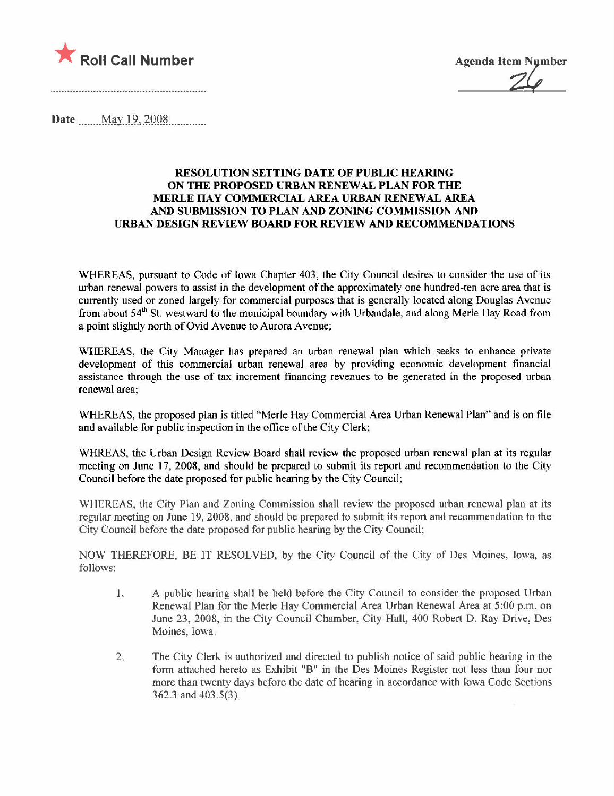

Date .......May...9,.lQQL........

## RESOLUTION SETTING DATE OF PUBLIC HEARING ON THE PROPOSED URBAN RENEWAL PLAN FOR THE MERLE HAY COMMERCIAL AREA URBAN RENEWAL AREA AND SUBMISSION TO PLAN AND ZONING COMMISSION AND URBAN DESIGN REVIEW BOARD FOR REVIEW AND RECOMMENDATIONS

WHEREAS, pursuant to Code of Iowa Chapter 403, the City Council desires to consider the use of its urban renewal powers to assist in the development of the approximately one hundred-ten acre area that is currently used or zoned largely for commercial purposes that is generally located along Douglas Avenue from about 54<sup>th</sup> St. westward to the municipal boundary with Urbandale, and along Merle Hay Road from a point slightly north of Ovid Avenue to Aurora Avenue;

WHREAS, the City Manager has prepared an urban renewal plan which seeks to enhance private development of this commercial urban renewal area by providing economic development financial assistance through the use of tax increment financing revenues to be generated in the proposed urban renewal area;

WHREAS, the proposed plan is titled "Merle Hay Commercial Area Urban Renewal Plan" and is on fie and available for public inspection in the office of the City Clerk;

WHREAS, the Urban Design Review Board shall review the proposed urban renewal plan at its regular meeting on June 17, 2008, and should be prepared to submit its report and recommendation to the City Council before the date proposed for public hearing by the City Council;

WHEREAS, the City Plan and Zoning Commission shall review the proposed urban renewal plan at its regular meeting on June 19, 2008, and should be prepared to submit its report and recommendation to the City Council before the date proposed for public hearing by the City Council;

NOW THEREFORE, BE IT RESOLVED, by the City Council of the City of Des Moines, Iowa, as follows:

- 1. A public hearing shall be held before the City Council to consider the proposed Urban Renewal Plan for the Merle Hay Commercial Area Urban Renewal Area at 5:00 p.m. on June 23, 2008, in the City Council Chaniber, City Hall, 400 Robert D. Ray Drive, Des Moines. Iowa.
- 2. The City Clerk is authorized and directed to publish notice of said public hearing in the form attached hereto as Exhibit "B" in the Des Moines Register not less than four nor more than twenty days before the date of hearing in accordance with Iowa Code Sections 362.3 and 403.5(3).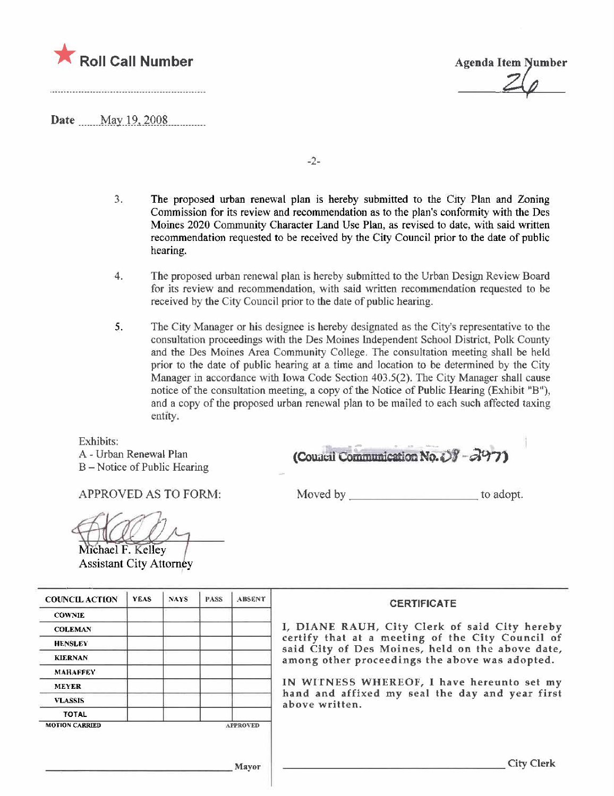

**Agenda Item Number** 

Date May 19, 2008

...............................

 $-2-$ 

- $3.$ The proposed urban renewal plan is hereby submitted to the City Plan and Zoning Commission for its review and recommendation as to the plan's conformity with the Des Moines 2020 Community Character Land Use Plan, as revised to date, with said written recommendation requested to be received by the City Council prior to the date of public hearing.
- 4. The proposed urban renewal plan is hereby submitted to the Urban Design Review Board for its review and recommendation, with said written recommendation requested to be received by the City Council prior to the date of public hearing.
- 5. The City Manager or his designee is hereby designated as the City's representative to the consultation proceedings with the Des Moines Independent School District, Polk County and the Des Moines Area Community College. The consultation meeting shall be held prior to the date of public hearing at a time and location to be determined by the City Manager in accordance with Iowa Code Section 403.5(2). The City Manager shall cause notice of the consultation meeting, a copy of the Notice of Public Hearing (Exhibit "B"), and a copy of the proposed urban renewal plan to be mailed to each such affected taxing entity.

Exhibits:

A - Urban Renewal Plan B – Notice of Public Hearing

**APPROVED AS TO FORM:** 

Moved by to adopt.

(Council Communication No. 08 - 297)

Michael F. Kelley **Assistant City Attorney** 

| <b>COUNCIL ACTION</b> | <b>YEAS</b> | NAYS. | <b>PASS</b> | <b>ABSENT</b>   | <b>CERTIFICATE</b>                                                                                   |
|-----------------------|-------------|-------|-------------|-----------------|------------------------------------------------------------------------------------------------------|
| <b>COWNIE</b>         |             |       |             |                 |                                                                                                      |
| <b>COLEMAN</b>        |             |       |             |                 | I, DIANE RAUH, City Clerk of said City hereby                                                        |
| <b>HENSLEY</b>        |             |       |             |                 | certify that at a meeting of the City Council of<br>said City of Des Moines, held on the above date, |
| <b>KIERNAN</b>        |             |       |             |                 | among other proceedings the above was adopted.                                                       |
| MAHAFFEY              |             |       |             |                 |                                                                                                      |
| <b>MEYER</b>          |             |       |             |                 | IN WITNESS WHEREOF, I have hereunto set my                                                           |
| <b>VLASSIS</b>        |             |       |             |                 | hand and affixed my seal the day and year first<br>above written.                                    |
| TOTAL                 |             |       |             |                 |                                                                                                      |
| <b>MOTION CARRIED</b> |             |       |             | <b>APPROVED</b> |                                                                                                      |

Mayor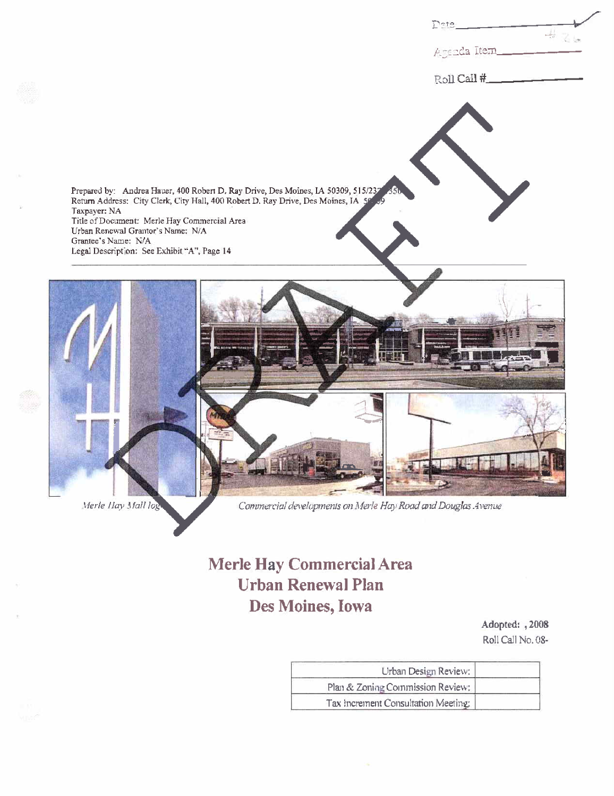|                                                                                                                                                                                                                                                                                                                                                            | Dete_<br>Agenda Item |
|------------------------------------------------------------------------------------------------------------------------------------------------------------------------------------------------------------------------------------------------------------------------------------------------------------------------------------------------------------|----------------------|
|                                                                                                                                                                                                                                                                                                                                                            | Roll Call #          |
| Prepared by: Andrea Hauer, 400 Robert D. Ray Drive, Des Moines, LA 50309, 515/237 350.<br>Return Address: City Clerk, City Hall, 400 Robert D. Ray Drive, Des Moines, JA 50, 39<br>Taxpayer: NA<br>Title of Document: Merle Hay Commercial Area<br>Urban Renewal Grantor's Name; N/A<br>Grantee's Name: N/A<br>Legal Description: See Exhibit "A", Page 14 |                      |
|                                                                                                                                                                                                                                                                                                                                                            |                      |
|                                                                                                                                                                                                                                                                                                                                                            |                      |

Merle Hay Mall log

Commercial developments on Merle Hay Road and Douglas Avenue

# Merle Hay Commercial Area **Urban Renewal Plan** Des Moines, Iowa

Adopted: , 2008 Roll Call No. 08-

| Urban Design Review:               |  |
|------------------------------------|--|
| Plan & Zoning Commission Review:   |  |
| Tax Increment Consultation Meeting |  |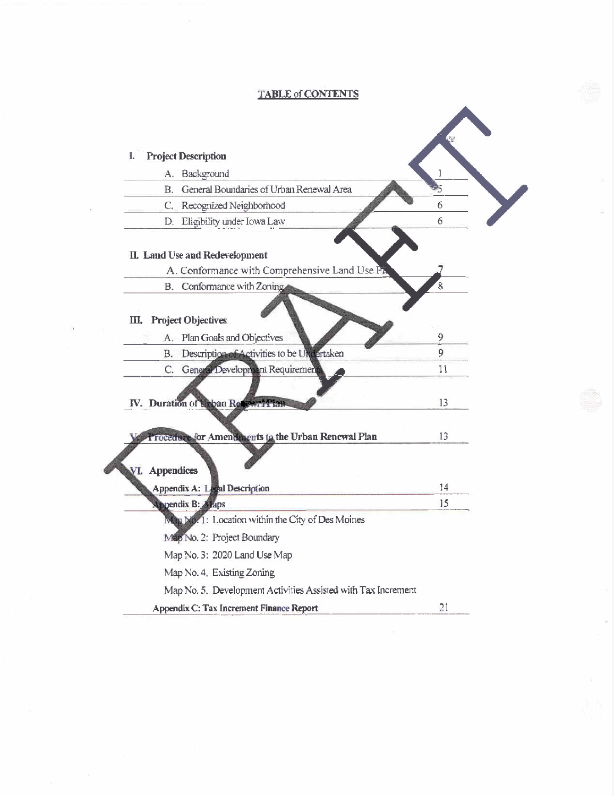## **TABLE of CONTENTS**

 $\bar{R}$ 

9

 $\langle \sigma \rangle$ 

| A. Background                                                 | 1  |
|---------------------------------------------------------------|----|
| General Boundaries of Urban Renewal Area<br><b>B.</b>         | 5  |
| Recognized Neighborhood<br>C.                                 | 6  |
| Eligibility under Iowa Law<br>D.                              | 6  |
| II. Land Use and Redevelopment                                |    |
| A. Conformance with Comprehensive Land Use PA                 |    |
| B. Conformance with Zoning                                    | 8  |
| III. Project Objectives<br>Plan Goals and Objectives<br>А.    | 9  |
| Description of Activities to be Undertaken<br>В.              | 9  |
| C. General Development Requirement                            | 11 |
| IV. Duration of Wroan Recovert Than                           | 13 |
| Procedure for Amendments to the Urban Renewal Plan            | 13 |
| VI. Appendices                                                |    |
| Appendix A: Legal Description                                 | 14 |
| <b>Appendix B: Allaps</b>                                     | 15 |
| Map No. 1: Location within the City of Des Moines             |    |
| Map No. 2: Project Boundary                                   |    |
| Map No. 3: 2020 Land Use Map                                  |    |
| Map No. 4. Existing Zoning                                    |    |
| Map No. 5. Development Activities Assisted with Tax Increment |    |
| Appendix C: Tax Increment Finance Report                      | 21 |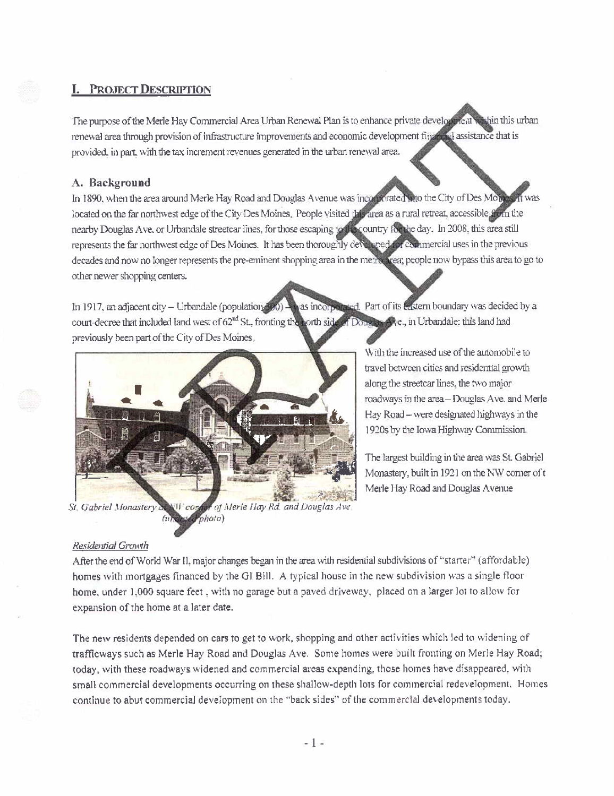## **PROJECT DESCRIPTION**

The purpose of the Merle Hay Commercial Area Urban Renewal Plan is to enhance private development within this urban renewal area through provision of infrastructure improvements and economic development finally assistance that is provided, in part, with the tax increment revenues generated in the urban renewal area.

## A. Background

In 1890, when the area around Merle Hay Road and Douglas Avenue was incorporated ato the City of Des Monds it was located on the far northwest edge of the City Des Moines. People visited this area as a rural retreat, accessible from the nearby Douglas Ave. or Urbandale streetcar lines, for those escaping to the country for the day. In 2008, this area still represents the far northwest edge of Des Moines. It has been thoroughly developed for the imercial uses in the previous decades and now no longer represents the pre-eminent shopping area in the metro area; people now bypass this area to go to other newer shopping centers.

as incorporated. Part of its eastern boundary was decided by a In 1917, an adjacent city - Urbandale (population (390) court-decree that included land west of 62<sup>nd</sup> St., fronting the north side of Douglas Ave., in Urbandale: this land had previously been part of the City of Des Moines.



of Merle Hay Rd. and Douglas Ave St. Gabriel Monastery  $\mathbf{U}$  cos photo)

With the increased use of the automobile to travel between cities and residential growth along the streetcar lines, the two major roadways in the area-Douglas Ave. and Merle Hay Road - were designated highways in the 1920s by the Iowa Highway Commission.

The largest building in the area was St. Gabriel Monastery, built in 1921 on the NW comer of t Merle Hay Road and Douglas Avenue

## Residential Growth

After the end of World War II, major changes began in the area with residential subdivisions of "starter" (affordable) homes with mortgages financed by the GI Bill. A typical house in the new subdivision was a single floor home, under 1,000 square feet, with no garage but a paved driveway, placed on a larger lot to allow for expansion of the home at a later date.

The new residents depended on cars to get to work, shopping and other activities which led to widening of trafficways such as Merle Hay Road and Douglas Ave. Some homes were built fronting on Merle Hay Road; today, with these roadways widened and commercial areas expanding, those homes have disappeared, with small commercial developments occurring on these shallow-depth lots for commercial redevelopment. Homes continue to abut commercial development on the "back sides" of the commercial developments today.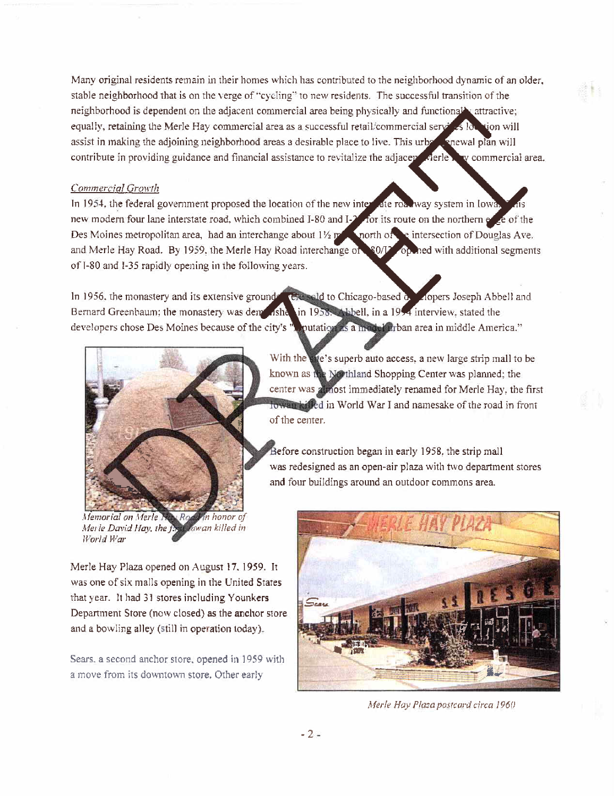Many original residents remain in their homes which has contributed to the neighborhood dynamic of an older. stable neighborhood that is on the verge of "cycling" to new residents. The successful transition of the neighborhood is dependent on the adjacent commercial area being physically and functionally attractive; equally, retaining the Merle Hay commercial area as a successful retail/commercial servers for sion will assist in making the adjoining neighborhood areas a desirable place to live. This urbe a snewal plan will contribute in providing guidance and financial assistance to revitalize the adjace  $\ell$ y commercial area.

#### Commercial Growth

In 1954, the federal government proposed the location of the new interest at roadway system in lower new modern four lane interstate road, which combined I-80 and I-7 for its route on the northern expected the Des Moines metropolitan area, had an interchange about  $1\frac{1}{2}$  point  $\alpha$  and  $\alpha$  intersection of Douglas Ave. and Merle Hay Road. By 1959, the Merle Hay Road interchange of \$0/L op ned with additional segments of 1-80 and 1-35 rapidly opening in the following years.

opers Joseph Abbell and Bernard Greenbaum; the monastery was dem sich a 1958. Abbell, in a 1954 interview, stated the developers chose Des Moines because of the city's "Liquidation as a model driban area in middle America." In 1956, the monastery and its extensive ground  $\epsilon$  extended to Chicago-based  $\alpha$ 



Memorial on Merle in honor of Merle David Hay, the f. owan killed in World War

Merle Hay Plaza opened on August 17. 1959. It was one of six malls opening in the United States that year. It had 31 stores including Younkers Deparment Store (now closed) as the anchor store and a bowling alley (still in operation today).

Sears. a second anchor store. opened in 1959 with a move from its downtown store. Other early

With the **and Shopping Center was planned**; the known as a strip mall to be a shopping Center was planned; the center was almost immediately renamed for Merle Hay, the first fowar killed in World War I and namesake of the road in front of the center.

> Before construction began in early 1958, the strip mall was redesigned as an open-air plaza with two department stores and four buildings around an outdoor commons area.



Merle Hay Pluza postcard circa 1960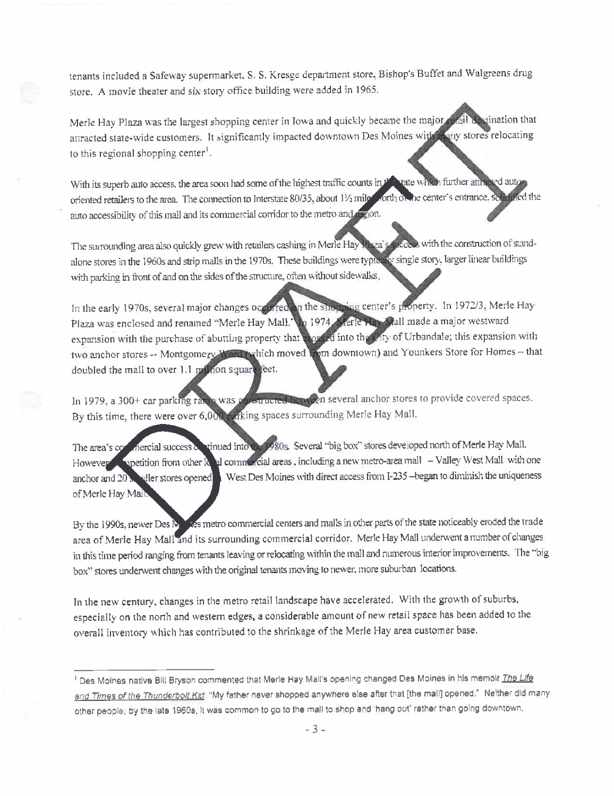tenants included a Safeway supennarket. S. S. Kresge department store. Bishop's Buffet and Walgreens drug store. A movie theater and six story office building were added in 1965.

Merle Hay Plaza was the largest shopping center in Iowa and quickly became the major plail destination that attracted state-wide customers. It significantly impacted downtown Des Moines with many stores relocating to this regional shopping center<sup>1</sup>.

With its superb auto access, the area soon had some of the highest traffic counts in the tate which further attracted autoforth of the center's entrance, soft thed the oriented retailers to the area. The connection to Interstate 80/35, about 11/2 mile auto accessibility of this mall and its commercial corridor to the metro and the on.

precess with the construction of stand-The surrounding area also quickly grew with retailers cashing in Merle Hay Rhza's alone stores in the 1960s and strip malls in the 1970s. These buildings were typically single story, larger linear buildings with parking in front of and on the sides of the structure, often without sidewalks,

In the shopping center's property. In 1972/3, Merle Hay In the early 1970s, several major changes occurred Plaza was enclosed and renamed "Merle Hay Mall." In 1974, A ferle Hay Mall made a major westward expansion with the purchase of abutting property that clossed into the Oity of Urbandale; this expansion with two anchor stores -- Montgomery Ward twhich moved from downtown) and Younkers Store for Homes - that doubled the mall to over 1.1 million square feet.

In 1979, a 300+ car parking rating was constructed to overal several anchor stores to provide covered spaces. By this time, there were over 6,000 parking spaces surrounding Merle Hay Mall.

The area's completed successor vinued into the 1980s. Several "big box" stores developed north of Merle Hay Mall. However **in petition from other k** al commercial areas, including a new metro-area mall - Valley West Mall with one West Des Moines with direct access from I-235 -- began to diminish the uniqueness anchor and 20 sepaller stores opened of Merle Hay Mail:

By the 1990s, newer Des Mars metro commercial centers and malls in other parts of the state noticeably eroded the trade area of Merle Hay Mall and its surrounding commercial corridor. Merle Hay Mall underwent a number of changes in this time period ranging from tenants leaving or relocating within the mall and numerous interior improvements. The "big box" stores underwent changes with the original tenants moving to newer, more suburban locations.

In the new century, changes in the metro retail landscape have accelerated. With the growth of suburbs, especially on the north and western edges, a considerable amount of new retail space has been added to the overall inventory which has contributed to the shrinkage of the Merle Hay area customer base.

<sup>&</sup>lt;sup>1</sup> Des Moines native Bill Bryson commented that Merle Hay Mall's opening changed Des Moines in his memoir The Life and Times of the Thunderbolt Kid: "My father never shopped anywhere else after that [the mail] opened." Neither did many other people; by the late 1960s, it was common to go to the mail to shop and 'hang out' rather than going downtown.